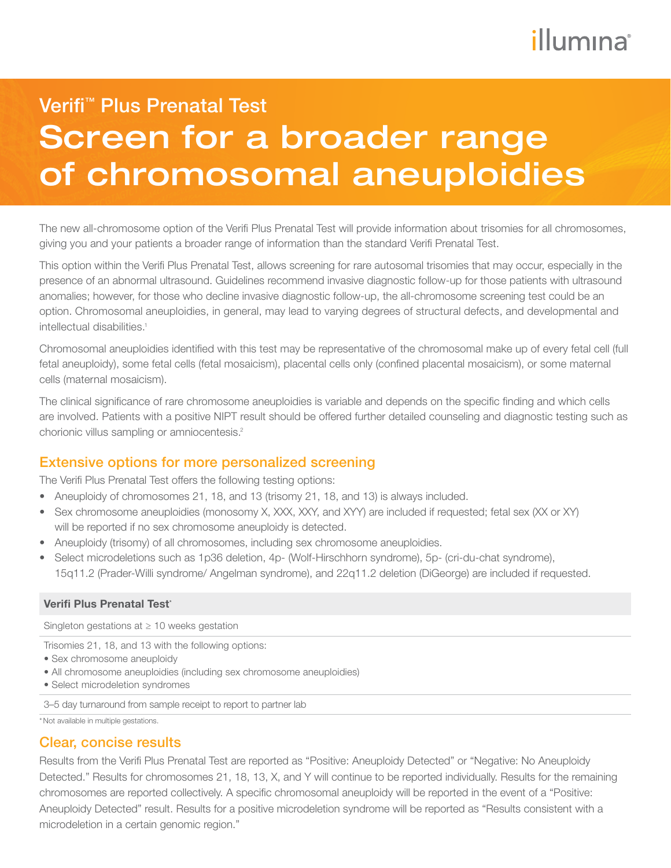# illumına

# Screen for a broader range of chromosomal aneuploidies Verifi<sup>™</sup> Plus Prenatal Test

The new all-chromosome option of the Verifi Plus Prenatal Test will provide information about trisomies for all chromosomes, giving you and your patients a broader range of information than the standard Verifi Prenatal Test.

This option within the Verifi Plus Prenatal Test, allows screening for rare autosomal trisomies that may occur, especially in the presence of an abnormal ultrasound. Guidelines recommend invasive diagnostic follow-up for those patients with ultrasound anomalies; however, for those who decline invasive diagnostic follow-up, the all-chromosome screening test could be an option. Chromosomal aneuploidies, in general, may lead to varying degrees of structural defects, and developmental and intellectual disabilities.<sup>1</sup>

Chromosomal aneuploidies identified with this test may be representative of the chromosomal make up of every fetal cell (full fetal aneuploidy), some fetal cells (fetal mosaicism), placental cells only (confined placental mosaicism), or some maternal cells (maternal mosaicism).

The clinical significance of rare chromosome aneuploidies is variable and depends on the specific finding and which cells are involved. Patients with a positive NIPT result should be offered further detailed counseling and diagnostic testing such as chorionic villus sampling or amniocentesis.2

## Extensive options for more personalized screening

The Verifi Plus Prenatal Test offers the following testing options:

- Aneuploidy of chromosomes 21, 18, and 13 (trisomy 21, 18, and 13) is always included.
- Sex chromosome aneuploidies (monosomy X, XXX, XXY, and XYY) are included if requested; fetal sex (XX or XY) will be reported if no sex chromosome aneuploidy is detected.
- Aneuploidy (trisomy) of all chromosomes, including sex chromosome aneuploidies.
- Select microdeletions such as 1p36 deletion, 4p- (Wolf-Hirschhorn syndrome), 5p- (cri-du-chat syndrome), 15q11.2 (Prader-Willi syndrome/ Angelman syndrome), and 22q11.2 deletion (DiGeorge) are included if requested.

### Verifi Plus Prenatal Test\*

Singleton gestations at ≥ 10 weeks gestation

Trisomies 21, 18, and 13 with the following options:

- Sex chromosome aneuploidy
- All chromosome aneuploidies (including sex chromosome aneuploidies)
- Select microdeletion syndromes

3–5 day turnaround from sample receipt to report to partner lab

\*Not available in multiple gestations.

### Clear, concise results

Results from the Verifi Plus Prenatal Test are reported as "Positive: Aneuploidy Detected" or "Negative: No Aneuploidy Detected." Results for chromosomes 21, 18, 13, X, and Y will continue to be reported individually. Results for the remaining chromosomes are reported collectively. A specific chromosomal aneuploidy will be reported in the event of a "Positive: Aneuploidy Detected" result. Results for a positive microdeletion syndrome will be reported as "Results consistent with a microdeletion in a certain genomic region."